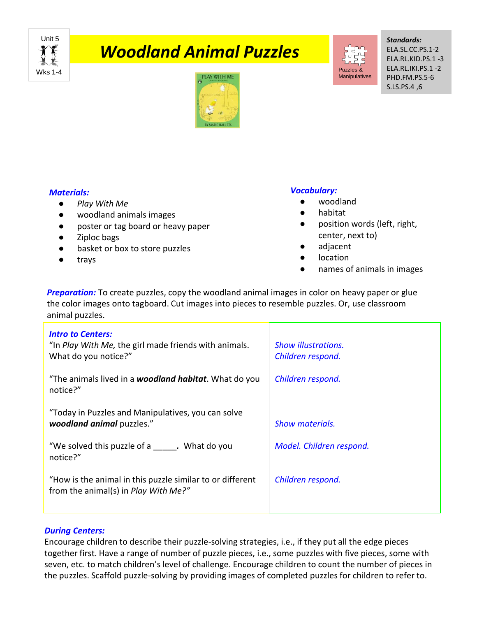Unit 5 Wks 1-4

# *Woodland Animal Puzzles*



*Standards:* ELA.SL.CC.PS.1-2 ELA.RL.KID.PS.1 -3 ELA.RL.IKI.PS.1 -2 PHD.FM.PS.5-6 S.LS.PS.4 ,6



### *Materials:*

- *Play With Me*
- woodland animals images
- poster or tag board or heavy paper
- Ziploc bags
- basket or box to store puzzles
- trays

## *Vocabulary:*

- woodland
- habitat
- position words (left, right, center, next to)
- adjacent
- location
- names of animals in images

**Preparation:** To create puzzles, copy the woodland animal images in color on heavy paper or glue the color images onto tagboard. Cut images into pieces to resemble puzzles. Or, use classroom animal puzzles.

| <b>Intro to Centers:</b><br>"In Play With Me, the girl made friends with animals.<br>What do you notice?" | <b>Show illustrations.</b><br>Children respond. |
|-----------------------------------------------------------------------------------------------------------|-------------------------------------------------|
| "The animals lived in a <b>woodland habitat</b> . What do you<br>notice?"                                 | Children respond.                               |
| "Today in Puzzles and Manipulatives, you can solve<br>woodland animal puzzles."                           | <b>Show materials.</b>                          |
| "We solved this puzzle of a bushess. What do you<br>notice?"                                              | Model. Children respond.                        |
| "How is the animal in this puzzle similar to or different<br>from the animal(s) in <i>Play With Me?"</i>  | Children respond.                               |

### *During Centers:*

Encourage children to describe their puzzle-solving strategies, i.e., if they put all the edge pieces together first. Have a range of number of puzzle pieces, i.e., some puzzles with five pieces, some with seven, etc. to match children's level of challenge. Encourage children to count the number of pieces in the puzzles. Scaffold puzzle-solving by providing images of completed puzzles for children to refer to.